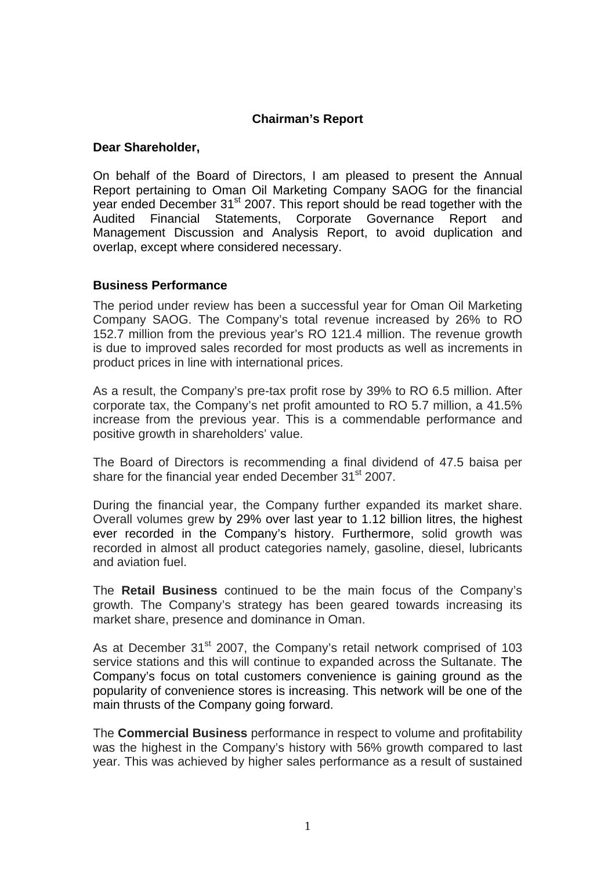## **Chairman's Report**

### **Dear Shareholder,**

On behalf of the Board of Directors, I am pleased to present the Annual Report pertaining to Oman Oil Marketing Company SAOG for the financial year ended December 31<sup>st</sup> 2007. This report should be read together with the Audited Financial Statements, Corporate Governance Report and Management Discussion and Analysis Report, to avoid duplication and overlap, except where considered necessary.

### **Business Performance**

The period under review has been a successful year for Oman Oil Marketing Company SAOG. The Company's total revenue increased by 26% to RO 152.7 million from the previous year's RO 121.4 million. The revenue growth is due to improved sales recorded for most products as well as increments in product prices in line with international prices.

As a result, the Company's pre-tax profit rose by 39% to RO 6.5 million. After corporate tax, the Company's net profit amounted to RO 5.7 million, a 41.5% increase from the previous year. This is a commendable performance and positive growth in shareholders' value.

The Board of Directors is recommending a final dividend of 47.5 baisa per share for the financial year ended December 31<sup>st</sup> 2007.

During the financial year, the Company further expanded its market share. Overall volumes grew by 29% over last year to 1.12 billion litres, the highest ever recorded in the Company's history. Furthermore, solid growth was recorded in almost all product categories namely, gasoline, diesel, lubricants and aviation fuel.

The **Retail Business** continued to be the main focus of the Company's growth. The Company's strategy has been geared towards increasing its market share, presence and dominance in Oman.

As at December 31<sup>st</sup> 2007, the Company's retail network comprised of 103 service stations and this will continue to expanded across the Sultanate. The Company's focus on total customers convenience is gaining ground as the popularity of convenience stores is increasing. This network will be one of the main thrusts of the Company going forward.

The **Commercial Business** performance in respect to volume and profitability was the highest in the Company's history with 56% growth compared to last year. This was achieved by higher sales performance as a result of sustained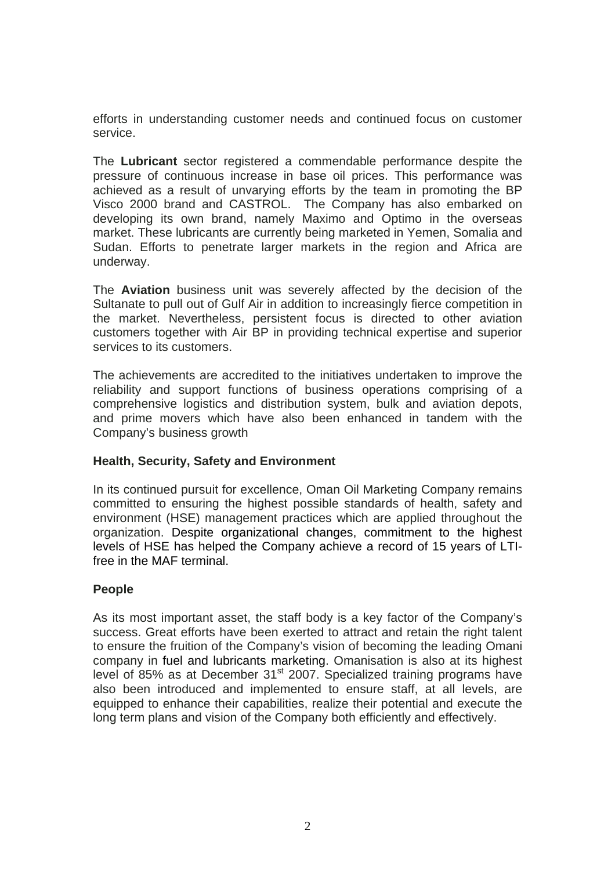efforts in understanding customer needs and continued focus on customer service.

The **Lubricant** sector registered a commendable performance despite the pressure of continuous increase in base oil prices. This performance was achieved as a result of unvarying efforts by the team in promoting the BP Visco 2000 brand and CASTROL. The Company has also embarked on developing its own brand, namely Maximo and Optimo in the overseas market. These lubricants are currently being marketed in Yemen, Somalia and Sudan. Efforts to penetrate larger markets in the region and Africa are underway.

The **Aviation** business unit was severely affected by the decision of the Sultanate to pull out of Gulf Air in addition to increasingly fierce competition in the market. Nevertheless, persistent focus is directed to other aviation customers together with Air BP in providing technical expertise and superior services to its customers.

The achievements are accredited to the initiatives undertaken to improve the reliability and support functions of business operations comprising of a comprehensive logistics and distribution system, bulk and aviation depots, and prime movers which have also been enhanced in tandem with the Company's business growth

### **Health, Security, Safety and Environment**

In its continued pursuit for excellence, Oman Oil Marketing Company remains committed to ensuring the highest possible standards of health, safety and environment (HSE) management practices which are applied throughout the organization. Despite organizational changes, commitment to the highest levels of HSE has helped the Company achieve a record of 15 years of LTIfree in the MAF terminal.

### **People**

As its most important asset, the staff body is a key factor of the Company's success. Great efforts have been exerted to attract and retain the right talent to ensure the fruition of the Company's vision of becoming the leading Omani company in fuel and lubricants marketing. Omanisation is also at its highest level of 85% as at December 31<sup>st</sup> 2007. Specialized training programs have also been introduced and implemented to ensure staff, at all levels, are equipped to enhance their capabilities, realize their potential and execute the long term plans and vision of the Company both efficiently and effectively.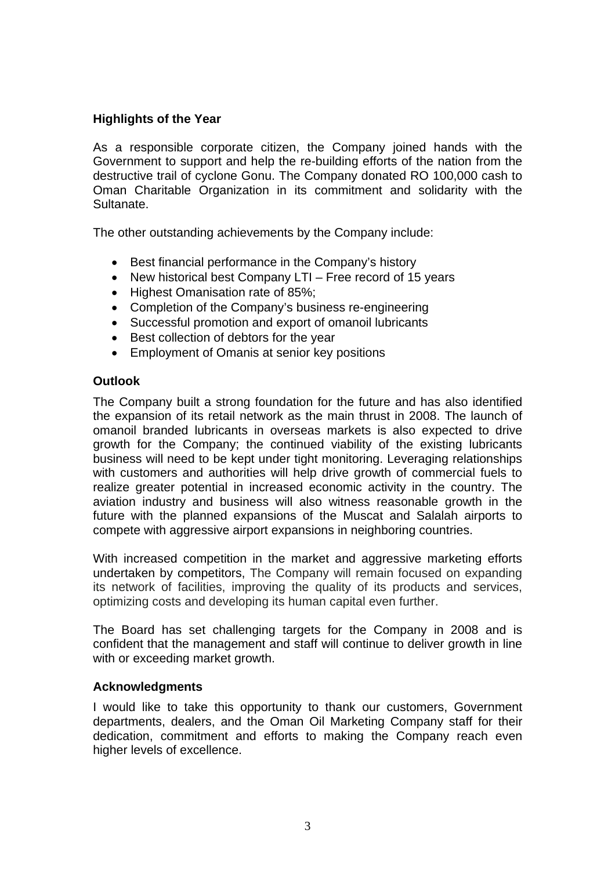# **Highlights of the Year**

As a responsible corporate citizen, the Company joined hands with the Government to support and help the re-building efforts of the nation from the destructive trail of cyclone Gonu. The Company donated RO 100,000 cash to Oman Charitable Organization in its commitment and solidarity with the Sultanate.

The other outstanding achievements by the Company include:

- Best financial performance in the Company's history
- New historical best Company LTI Free record of 15 years
- Highest Omanisation rate of 85%;
- Completion of the Company's business re-engineering
- Successful promotion and export of omanoil lubricants
- Best collection of debtors for the year
- Employment of Omanis at senior key positions

#### **Outlook**

The Company built a strong foundation for the future and has also identified the expansion of its retail network as the main thrust in 2008. The launch of omanoil branded lubricants in overseas markets is also expected to drive growth for the Company; the continued viability of the existing lubricants business will need to be kept under tight monitoring. Leveraging relationships with customers and authorities will help drive growth of commercial fuels to realize greater potential in increased economic activity in the country. The aviation industry and business will also witness reasonable growth in the future with the planned expansions of the Muscat and Salalah airports to compete with aggressive airport expansions in neighboring countries.

With increased competition in the market and aggressive marketing efforts undertaken by competitors, The Company will remain focused on expanding its network of facilities, improving the quality of its products and services, optimizing costs and developing its human capital even further.

The Board has set challenging targets for the Company in 2008 and is confident that the management and staff will continue to deliver growth in line with or exceeding market growth.

### **Acknowledgments**

I would like to take this opportunity to thank our customers, Government departments, dealers, and the Oman Oil Marketing Company staff for their dedication, commitment and efforts to making the Company reach even higher levels of excellence.